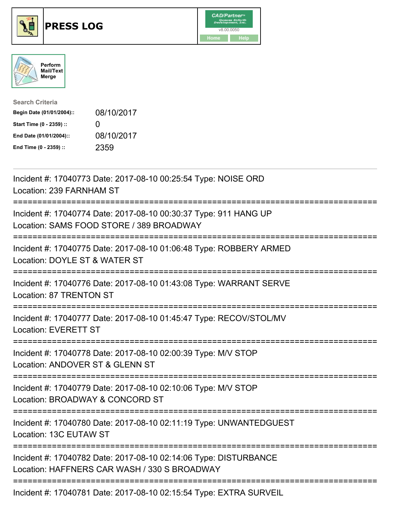





| <b>Search Criteria</b>    |                   |
|---------------------------|-------------------|
| Begin Date (01/01/2004):: | 08/10/2017        |
| Start Time (0 - 2359) ::  | $\mathbf{\Omega}$ |
| End Date (01/01/2004)::   | 08/10/2017        |
| End Time (0 - 2359) ::    | 2359              |

| Incident #: 17040773 Date: 2017-08-10 00:25:54 Type: NOISE ORD<br>Location: 239 FARNHAM ST                                                         |
|----------------------------------------------------------------------------------------------------------------------------------------------------|
| Incident #: 17040774 Date: 2017-08-10 00:30:37 Type: 911 HANG UP<br>Location: SAMS FOOD STORE / 389 BROADWAY<br>===========                        |
| Incident #: 17040775 Date: 2017-08-10 01:06:48 Type: ROBBERY ARMED<br>Location: DOYLE ST & WATER ST                                                |
| Incident #: 17040776 Date: 2017-08-10 01:43:08 Type: WARRANT SERVE<br>Location: 87 TRENTON ST                                                      |
| Incident #: 17040777 Date: 2017-08-10 01:45:47 Type: RECOV/STOL/MV<br><b>Location: EVERETT ST</b><br>==================                            |
| Incident #: 17040778 Date: 2017-08-10 02:00:39 Type: M/V STOP<br>Location: ANDOVER ST & GLENN ST<br>=================<br>========================= |
| Incident #: 17040779 Date: 2017-08-10 02:10:06 Type: M/V STOP<br>Location: BROADWAY & CONCORD ST                                                   |
| :==========================<br>============<br>Incident #: 17040780 Date: 2017-08-10 02:11:19 Type: UNWANTEDGUEST<br>Location: 13C EUTAW ST        |
| Incident #: 17040782 Date: 2017-08-10 02:14:06 Type: DISTURBANCE<br>Location: HAFFNERS CAR WASH / 330 S BROADWAY                                   |
| Incident #: 17040781 Date: 2017-08-10 02:15:54 Type: EXTRA SURVEIL                                                                                 |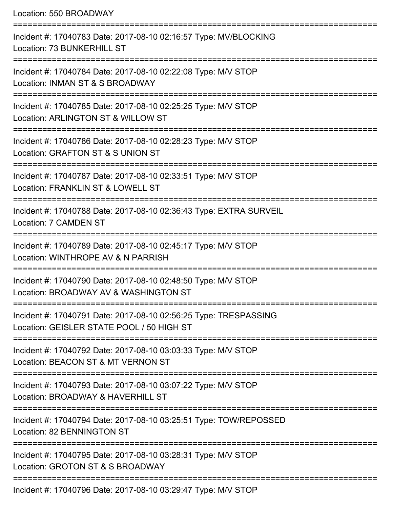Location: 550 BROADWAY =========================================================================== Incident #: 17040783 Date: 2017-08-10 02:16:57 Type: MV/BLOCKING Location: 73 BUNKERHILL ST =========================================================================== Incident #: 17040784 Date: 2017-08-10 02:22:08 Type: M/V STOP Location: INMAN ST & S BROADWAY =========================================================================== Incident #: 17040785 Date: 2017-08-10 02:25:25 Type: M/V STOP Location: ARLINGTON ST & WILLOW ST =========================================================================== Incident #: 17040786 Date: 2017-08-10 02:28:23 Type: M/V STOP Location: GRAFTON ST & S UNION ST =========================================================================== Incident #: 17040787 Date: 2017-08-10 02:33:51 Type: M/V STOP Location: FRANKLIN ST & LOWELL ST =========================================================================== Incident #: 17040788 Date: 2017-08-10 02:36:43 Type: EXTRA SURVEIL Location: 7 CAMDEN ST =========================================================================== Incident #: 17040789 Date: 2017-08-10 02:45:17 Type: M/V STOP Location: WINTHROPE AV & N PARRISH =========================================================================== Incident #: 17040790 Date: 2017-08-10 02:48:50 Type: M/V STOP Location: BROADWAY AV & WASHINGTON ST =========================================================================== Incident #: 17040791 Date: 2017-08-10 02:56:25 Type: TRESPASSING Location: GEISLER STATE POOL / 50 HIGH ST =========================================================================== Incident #: 17040792 Date: 2017-08-10 03:03:33 Type: M/V STOP Location: BEACON ST & MT VERNON ST =========================================================================== Incident #: 17040793 Date: 2017-08-10 03:07:22 Type: M/V STOP Location: BROADWAY & HAVERHILL ST =========================================================================== Incident #: 17040794 Date: 2017-08-10 03:25:51 Type: TOW/REPOSSED Location: 82 BENNINGTON ST =========================================================================== Incident #: 17040795 Date: 2017-08-10 03:28:31 Type: M/V STOP Location: GROTON ST & S BROADWAY =========================================================================== Incident #: 17040796 Date: 2017-08-10 03:29:47 Type: M/V STOP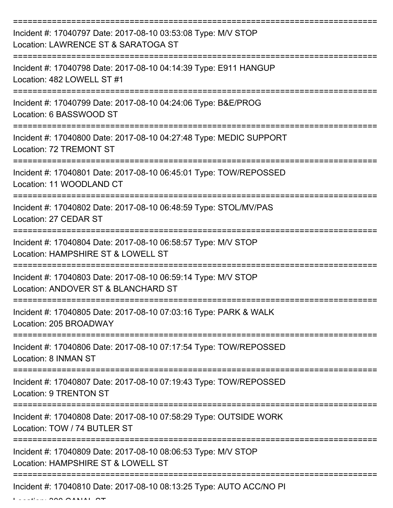| Incident #: 17040797 Date: 2017-08-10 03:53:08 Type: M/V STOP<br>Location: LAWRENCE ST & SARATOGA ST |
|------------------------------------------------------------------------------------------------------|
| Incident #: 17040798 Date: 2017-08-10 04:14:39 Type: E911 HANGUP<br>Location: 482 LOWELL ST #1       |
| Incident #: 17040799 Date: 2017-08-10 04:24:06 Type: B&E/PROG<br>Location: 6 BASSWOOD ST             |
| Incident #: 17040800 Date: 2017-08-10 04:27:48 Type: MEDIC SUPPORT<br>Location: 72 TREMONT ST        |
| Incident #: 17040801 Date: 2017-08-10 06:45:01 Type: TOW/REPOSSED<br>Location: 11 WOODLAND CT        |
| Incident #: 17040802 Date: 2017-08-10 06:48:59 Type: STOL/MV/PAS<br>Location: 27 CEDAR ST            |
| Incident #: 17040804 Date: 2017-08-10 06:58:57 Type: M/V STOP<br>Location: HAMPSHIRE ST & LOWELL ST  |
| Incident #: 17040803 Date: 2017-08-10 06:59:14 Type: M/V STOP<br>Location: ANDOVER ST & BLANCHARD ST |
| Incident #: 17040805 Date: 2017-08-10 07:03:16 Type: PARK & WALK<br>Location: 205 BROADWAY           |
| Incident #: 17040806 Date: 2017-08-10 07:17:54 Type: TOW/REPOSSED<br>Location: 8 INMAN ST            |
| Incident #: 17040807 Date: 2017-08-10 07:19:43 Type: TOW/REPOSSED<br>Location: 9 TRENTON ST          |
| Incident #: 17040808 Date: 2017-08-10 07:58:29 Type: OUTSIDE WORK<br>Location: TOW / 74 BUTLER ST    |
| Incident #: 17040809 Date: 2017-08-10 08:06:53 Type: M/V STOP<br>Location: HAMPSHIRE ST & LOWELL ST  |
| Incident #: 17040810 Date: 2017-08-10 08:13:25 Type: AUTO ACC/NO PI                                  |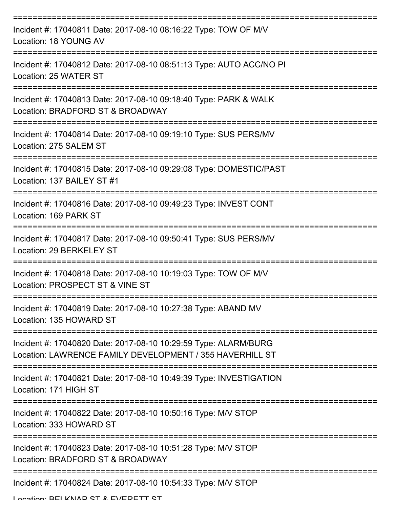| Incident #: 17040811 Date: 2017-08-10 08:16:22 Type: TOW OF M/V<br>Location: 18 YOUNG AV                                    |
|-----------------------------------------------------------------------------------------------------------------------------|
| Incident #: 17040812 Date: 2017-08-10 08:51:13 Type: AUTO ACC/NO PI<br>Location: 25 WATER ST                                |
| Incident #: 17040813 Date: 2017-08-10 09:18:40 Type: PARK & WALK<br>Location: BRADFORD ST & BROADWAY                        |
| Incident #: 17040814 Date: 2017-08-10 09:19:10 Type: SUS PERS/MV<br>Location: 275 SALEM ST                                  |
| Incident #: 17040815 Date: 2017-08-10 09:29:08 Type: DOMESTIC/PAST<br>Location: 137 BAILEY ST #1                            |
| Incident #: 17040816 Date: 2017-08-10 09:49:23 Type: INVEST CONT<br>Location: 169 PARK ST                                   |
| Incident #: 17040817 Date: 2017-08-10 09:50:41 Type: SUS PERS/MV<br>Location: 29 BERKELEY ST                                |
| Incident #: 17040818 Date: 2017-08-10 10:19:03 Type: TOW OF M/V<br>Location: PROSPECT ST & VINE ST                          |
| Incident #: 17040819 Date: 2017-08-10 10:27:38 Type: ABAND MV<br>Location: 135 HOWARD ST                                    |
| Incident #: 17040820 Date: 2017-08-10 10:29:59 Type: ALARM/BURG<br>Location: LAWRENCE FAMILY DEVELOPMENT / 355 HAVERHILL ST |
| Incident #: 17040821 Date: 2017-08-10 10:49:39 Type: INVESTIGATION<br>Location: 171 HIGH ST                                 |
| Incident #: 17040822 Date: 2017-08-10 10:50:16 Type: M/V STOP<br>Location: 333 HOWARD ST                                    |
| Incident #: 17040823 Date: 2017-08-10 10:51:28 Type: M/V STOP<br>Location: BRADFORD ST & BROADWAY                           |
| Incident #: 17040824 Date: 2017-08-10 10:54:33 Type: M/V STOP                                                               |
| I anation: DEI KNAD CT & EVEDETT CT                                                                                         |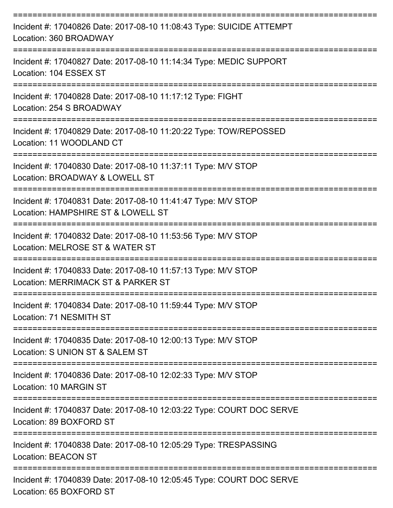| Incident #: 17040826 Date: 2017-08-10 11:08:43 Type: SUICIDE ATTEMPT<br>Location: 360 BROADWAY               |
|--------------------------------------------------------------------------------------------------------------|
| Incident #: 17040827 Date: 2017-08-10 11:14:34 Type: MEDIC SUPPORT<br>Location: 104 ESSEX ST                 |
| Incident #: 17040828 Date: 2017-08-10 11:17:12 Type: FIGHT<br>Location: 254 S BROADWAY                       |
| Incident #: 17040829 Date: 2017-08-10 11:20:22 Type: TOW/REPOSSED<br>Location: 11 WOODLAND CT                |
| Incident #: 17040830 Date: 2017-08-10 11:37:11 Type: M/V STOP<br>Location: BROADWAY & LOWELL ST              |
| Incident #: 17040831 Date: 2017-08-10 11:41:47 Type: M/V STOP<br>Location: HAMPSHIRE ST & LOWELL ST          |
| Incident #: 17040832 Date: 2017-08-10 11:53:56 Type: M/V STOP<br>Location: MELROSE ST & WATER ST             |
| Incident #: 17040833 Date: 2017-08-10 11:57:13 Type: M/V STOP<br>Location: MERRIMACK ST & PARKER ST          |
| Incident #: 17040834 Date: 2017-08-10 11:59:44 Type: M/V STOP<br>Location: 71 NESMITH ST<br>---------------- |
| Incident #: 17040835 Date: 2017-08-10 12:00:13 Type: M/V STOP<br>Location: S UNION ST & SALEM ST             |
| Incident #: 17040836 Date: 2017-08-10 12:02:33 Type: M/V STOP<br>Location: 10 MARGIN ST                      |
| Incident #: 17040837 Date: 2017-08-10 12:03:22 Type: COURT DOC SERVE<br>Location: 89 BOXFORD ST              |
| Incident #: 17040838 Date: 2017-08-10 12:05:29 Type: TRESPASSING<br><b>Location: BEACON ST</b>               |
| Incident #: 17040839 Date: 2017-08-10 12:05:45 Type: COURT DOC SERVE<br>Location: 65 BOXFORD ST              |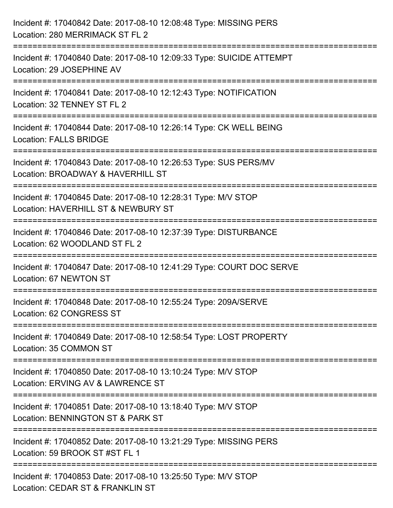| Incident #: 17040842 Date: 2017-08-10 12:08:48 Type: MISSING PERS<br>Location: 280 MERRIMACK ST FL 2                                       |
|--------------------------------------------------------------------------------------------------------------------------------------------|
| ===============================<br>Incident #: 17040840 Date: 2017-08-10 12:09:33 Type: SUICIDE ATTEMPT<br>Location: 29 JOSEPHINE AV       |
| Incident #: 17040841 Date: 2017-08-10 12:12:43 Type: NOTIFICATION<br>Location: 32 TENNEY ST FL 2<br>===============================        |
| Incident #: 17040844 Date: 2017-08-10 12:26:14 Type: CK WELL BEING<br><b>Location: FALLS BRIDGE</b>                                        |
| Incident #: 17040843 Date: 2017-08-10 12:26:53 Type: SUS PERS/MV<br>Location: BROADWAY & HAVERHILL ST<br>================================= |
| Incident #: 17040845 Date: 2017-08-10 12:28:31 Type: M/V STOP<br>Location: HAVERHILL ST & NEWBURY ST                                       |
| Incident #: 17040846 Date: 2017-08-10 12:37:39 Type: DISTURBANCE<br>Location: 62 WOODLAND ST FL 2                                          |
| Incident #: 17040847 Date: 2017-08-10 12:41:29 Type: COURT DOC SERVE<br>Location: 67 NEWTON ST                                             |
| Incident #: 17040848 Date: 2017-08-10 12:55:24 Type: 209A/SERVE<br>Location: 62 CONGRESS ST                                                |
| Incident #: 17040849 Date: 2017-08-10 12:58:54 Type: LOST PROPERTY<br>Location: 35 COMMON ST                                               |
| Incident #: 17040850 Date: 2017-08-10 13:10:24 Type: M/V STOP<br>Location: ERVING AV & LAWRENCE ST                                         |
| Incident #: 17040851 Date: 2017-08-10 13:18:40 Type: M/V STOP<br>Location: BENNINGTON ST & PARK ST                                         |
| Incident #: 17040852 Date: 2017-08-10 13:21:29 Type: MISSING PERS<br>Location: 59 BROOK ST#ST FL 1                                         |
| Incident #: 17040853 Date: 2017-08-10 13:25:50 Type: M/V STOP<br>Location: CEDAR ST & FRANKLIN ST                                          |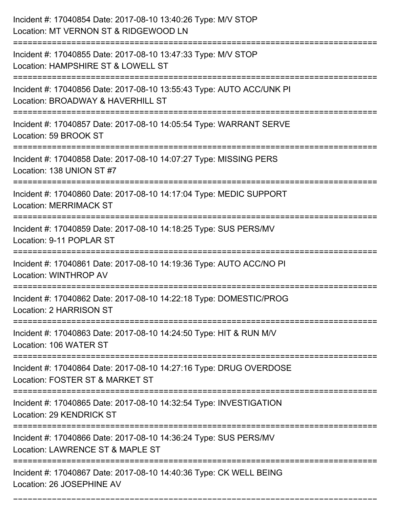| Incident #: 17040854 Date: 2017-08-10 13:40:26 Type: M/V STOP<br>Location: MT VERNON ST & RIDGEWOOD LN                              |
|-------------------------------------------------------------------------------------------------------------------------------------|
| Incident #: 17040855 Date: 2017-08-10 13:47:33 Type: M/V STOP<br>Location: HAMPSHIRE ST & LOWELL ST                                 |
| Incident #: 17040856 Date: 2017-08-10 13:55:43 Type: AUTO ACC/UNK PI<br>Location: BROADWAY & HAVERHILL ST<br>:====================  |
| Incident #: 17040857 Date: 2017-08-10 14:05:54 Type: WARRANT SERVE<br>Location: 59 BROOK ST                                         |
| Incident #: 17040858 Date: 2017-08-10 14:07:27 Type: MISSING PERS<br>Location: 138 UNION ST #7                                      |
| Incident #: 17040860 Date: 2017-08-10 14:17:04 Type: MEDIC SUPPORT<br><b>Location: MERRIMACK ST</b>                                 |
| Incident #: 17040859 Date: 2017-08-10 14:18:25 Type: SUS PERS/MV<br>Location: 9-11 POPLAR ST                                        |
| Incident #: 17040861 Date: 2017-08-10 14:19:36 Type: AUTO ACC/NO PI<br><b>Location: WINTHROP AV</b>                                 |
| Incident #: 17040862 Date: 2017-08-10 14:22:18 Type: DOMESTIC/PROG<br>Location: 2 HARRISON ST                                       |
| Incident #: 17040863 Date: 2017-08-10 14:24:50 Type: HIT & RUN M/V<br>Location: 106 WATER ST<br>----------------------------------- |
| Incident #: 17040864 Date: 2017-08-10 14:27:16 Type: DRUG OVERDOSE<br>Location: FOSTER ST & MARKET ST                               |
| Incident #: 17040865 Date: 2017-08-10 14:32:54 Type: INVESTIGATION<br><b>Location: 29 KENDRICK ST</b>                               |
| Incident #: 17040866 Date: 2017-08-10 14:36:24 Type: SUS PERS/MV<br>Location: LAWRENCE ST & MAPLE ST                                |
| Incident #: 17040867 Date: 2017-08-10 14:40:36 Type: CK WELL BEING<br>Location: 26 JOSEPHINE AV                                     |

===========================================================================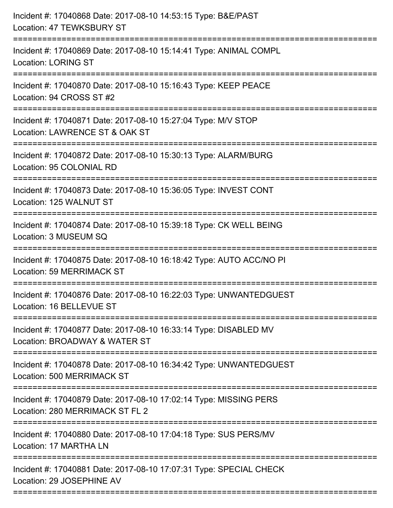| Incident #: 17040868 Date: 2017-08-10 14:53:15 Type: B&E/PAST<br>Location: 47 TEWKSBURY ST           |
|------------------------------------------------------------------------------------------------------|
| Incident #: 17040869 Date: 2017-08-10 15:14:41 Type: ANIMAL COMPL<br><b>Location: LORING ST</b>      |
| Incident #: 17040870 Date: 2017-08-10 15:16:43 Type: KEEP PEACE<br>Location: 94 CROSS ST #2          |
| Incident #: 17040871 Date: 2017-08-10 15:27:04 Type: M/V STOP<br>Location: LAWRENCE ST & OAK ST      |
| Incident #: 17040872 Date: 2017-08-10 15:30:13 Type: ALARM/BURG<br>Location: 95 COLONIAL RD          |
| Incident #: 17040873 Date: 2017-08-10 15:36:05 Type: INVEST CONT<br>Location: 125 WALNUT ST          |
| Incident #: 17040874 Date: 2017-08-10 15:39:18 Type: CK WELL BEING<br>Location: 3 MUSEUM SQ          |
| Incident #: 17040875 Date: 2017-08-10 16:18:42 Type: AUTO ACC/NO PI<br>Location: 59 MERRIMACK ST     |
| Incident #: 17040876 Date: 2017-08-10 16:22:03 Type: UNWANTEDGUEST<br>Location: 16 BELLEVUE ST       |
| Incident #: 17040877 Date: 2017-08-10 16:33:14 Type: DISABLED MV<br>Location: BROADWAY & WATER ST    |
| Incident #: 17040878 Date: 2017-08-10 16:34:42 Type: UNWANTEDGUEST<br>Location: 500 MERRIMACK ST     |
| Incident #: 17040879 Date: 2017-08-10 17:02:14 Type: MISSING PERS<br>Location: 280 MERRIMACK ST FL 2 |
| Incident #: 17040880 Date: 2017-08-10 17:04:18 Type: SUS PERS/MV<br>Location: 17 MARTHA LN           |
| Incident #: 17040881 Date: 2017-08-10 17:07:31 Type: SPECIAL CHECK<br>Location: 29 JOSEPHINE AV      |
|                                                                                                      |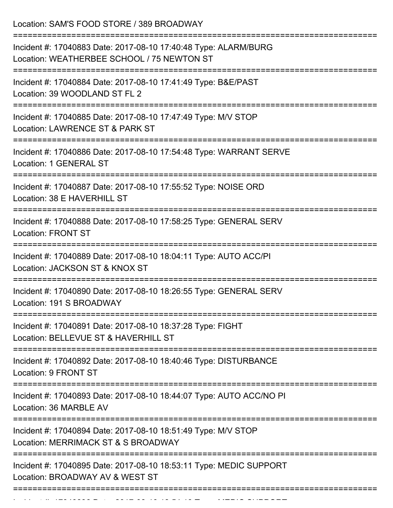Location: SAM'S FOOD STORE / 389 BROADWAY

| Incident #: 17040883 Date: 2017-08-10 17:40:48 Type: ALARM/BURG<br>Location: WEATHERBEE SCHOOL / 75 NEWTON ST<br>================== |
|-------------------------------------------------------------------------------------------------------------------------------------|
| Incident #: 17040884 Date: 2017-08-10 17:41:49 Type: B&E/PAST<br>Location: 39 WOODLAND ST FL 2                                      |
| Incident #: 17040885 Date: 2017-08-10 17:47:49 Type: M/V STOP<br>Location: LAWRENCE ST & PARK ST                                    |
| Incident #: 17040886 Date: 2017-08-10 17:54:48 Type: WARRANT SERVE<br>Location: 1 GENERAL ST                                        |
| Incident #: 17040887 Date: 2017-08-10 17:55:52 Type: NOISE ORD<br>Location: 38 E HAVERHILL ST                                       |
| Incident #: 17040888 Date: 2017-08-10 17:58:25 Type: GENERAL SERV<br><b>Location: FRONT ST</b>                                      |
| Incident #: 17040889 Date: 2017-08-10 18:04:11 Type: AUTO ACC/PI<br>Location: JACKSON ST & KNOX ST                                  |
| Incident #: 17040890 Date: 2017-08-10 18:26:55 Type: GENERAL SERV<br>Location: 191 S BROADWAY                                       |
| Incident #: 17040891 Date: 2017-08-10 18:37:28 Type: FIGHT<br>Location: BELLEVUE ST & HAVERHILL ST                                  |
| Incident #: 17040892 Date: 2017-08-10 18:40:46 Type: DISTURBANCE<br>Location: 9 FRONT ST                                            |
| Incident #: 17040893 Date: 2017-08-10 18:44:07 Type: AUTO ACC/NO PI<br>Location: 36 MARBLE AV                                       |
| Incident #: 17040894 Date: 2017-08-10 18:51:49 Type: M/V STOP<br>Location: MERRIMACK ST & S BROADWAY                                |
| Incident #: 17040895 Date: 2017-08-10 18:53:11 Type: MEDIC SUPPORT<br>Location: BROADWAY AV & WEST ST                               |
|                                                                                                                                     |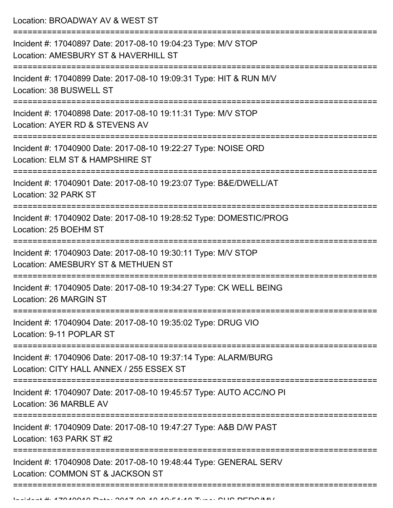Location: BROADWAY AV & WEST ST

| Incident #: 17040897 Date: 2017-08-10 19:04:23 Type: M/V STOP<br>Location: AMESBURY ST & HAVERHILL ST       |
|-------------------------------------------------------------------------------------------------------------|
| Incident #: 17040899 Date: 2017-08-10 19:09:31 Type: HIT & RUN M/V<br>Location: 38 BUSWELL ST               |
| Incident #: 17040898 Date: 2017-08-10 19:11:31 Type: M/V STOP<br>Location: AYER RD & STEVENS AV             |
| Incident #: 17040900 Date: 2017-08-10 19:22:27 Type: NOISE ORD<br>Location: ELM ST & HAMPSHIRE ST           |
| Incident #: 17040901 Date: 2017-08-10 19:23:07 Type: B&E/DWELL/AT<br>Location: 32 PARK ST                   |
| Incident #: 17040902 Date: 2017-08-10 19:28:52 Type: DOMESTIC/PROG<br>Location: 25 BOEHM ST                 |
| Incident #: 17040903 Date: 2017-08-10 19:30:11 Type: M/V STOP<br>Location: AMESBURY ST & METHUEN ST         |
| Incident #: 17040905 Date: 2017-08-10 19:34:27 Type: CK WELL BEING<br>Location: 26 MARGIN ST                |
| Incident #: 17040904 Date: 2017-08-10 19:35:02 Type: DRUG VIO<br>Location: 9-11 POPLAR ST                   |
| Incident #: 17040906 Date: 2017-08-10 19:37:14 Type: ALARM/BURG<br>Location: CITY HALL ANNEX / 255 ESSEX ST |
| Incident #: 17040907 Date: 2017-08-10 19:45:57 Type: AUTO ACC/NO PI<br>Location: 36 MARBLE AV               |
| Incident #: 17040909 Date: 2017-08-10 19:47:27 Type: A&B D/W PAST<br>Location: 163 PARK ST #2               |
| Incident #: 17040908 Date: 2017-08-10 19:48:44 Type: GENERAL SERV<br>Location: COMMON ST & JACKSON ST       |
|                                                                                                             |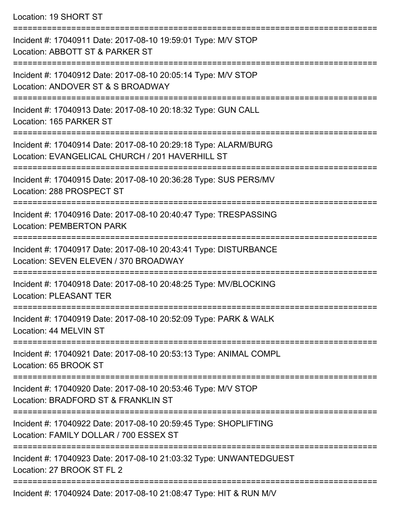Location: 19 SHORT ST

=========================================================================== Incident #: 17040911 Date: 2017-08-10 19:59:01 Type: M/V STOP Location: ABBOTT ST & PARKER ST =========================================================================== Incident #: 17040912 Date: 2017-08-10 20:05:14 Type: M/V STOP Location: ANDOVER ST & S BROADWAY =========================================================================== Incident #: 17040913 Date: 2017-08-10 20:18:32 Type: GUN CALL Location: 165 PARKER ST =========================================================================== Incident #: 17040914 Date: 2017-08-10 20:29:18 Type: ALARM/BURG Location: EVANGELICAL CHURCH / 201 HAVERHILL ST =========================================================================== Incident #: 17040915 Date: 2017-08-10 20:36:28 Type: SUS PERS/MV Location: 288 PROSPECT ST =========================================================================== Incident #: 17040916 Date: 2017-08-10 20:40:47 Type: TRESPASSING Location: PEMBERTON PARK =========================================================================== Incident #: 17040917 Date: 2017-08-10 20:43:41 Type: DISTURBANCE Location: SEVEN ELEVEN / 370 BROADWAY =========================================================================== Incident #: 17040918 Date: 2017-08-10 20:48:25 Type: MV/BLOCKING Location: PLEASANT TER =========================================================================== Incident #: 17040919 Date: 2017-08-10 20:52:09 Type: PARK & WALK Location: 44 MELVIN ST =========================================================================== Incident #: 17040921 Date: 2017-08-10 20:53:13 Type: ANIMAL COMPL Location: 65 BROOK ST =========================================================================== Incident #: 17040920 Date: 2017-08-10 20:53:46 Type: M/V STOP Location: BRADFORD ST & FRANKLIN ST =========================================================================== Incident #: 17040922 Date: 2017-08-10 20:59:45 Type: SHOPLIFTING Location: FAMILY DOLLAR / 700 ESSEX ST =========================================================================== Incident #: 17040923 Date: 2017-08-10 21:03:32 Type: UNWANTEDGUEST Location: 27 BROOK ST FL 2 =========================================================================== Incident #: 17040924 Date: 2017-08-10 21:08:47 Type: HIT & RUN M/V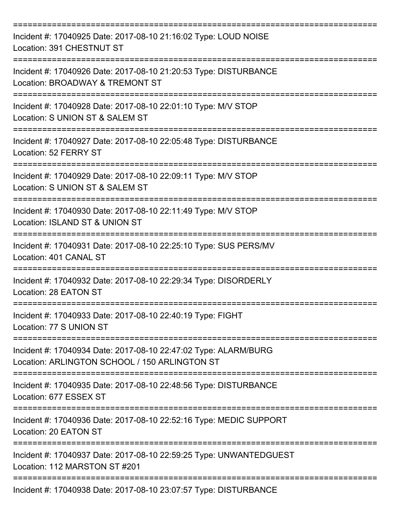| Incident #: 17040925 Date: 2017-08-10 21:16:02 Type: LOUD NOISE<br>Location: 391 CHESTNUT ST                     |
|------------------------------------------------------------------------------------------------------------------|
| Incident #: 17040926 Date: 2017-08-10 21:20:53 Type: DISTURBANCE<br>Location: BROADWAY & TREMONT ST              |
| Incident #: 17040928 Date: 2017-08-10 22:01:10 Type: M/V STOP<br>Location: S UNION ST & SALEM ST<br>------------ |
| Incident #: 17040927 Date: 2017-08-10 22:05:48 Type: DISTURBANCE<br>Location: 52 FERRY ST<br>__________________  |
| Incident #: 17040929 Date: 2017-08-10 22:09:11 Type: M/V STOP<br>Location: S UNION ST & SALEM ST                 |
| Incident #: 17040930 Date: 2017-08-10 22:11:49 Type: M/V STOP<br>Location: ISLAND ST & UNION ST                  |
| Incident #: 17040931 Date: 2017-08-10 22:25:10 Type: SUS PERS/MV<br>Location: 401 CANAL ST                       |
| Incident #: 17040932 Date: 2017-08-10 22:29:34 Type: DISORDERLY<br>Location: 28 EATON ST                         |
| Incident #: 17040933 Date: 2017-08-10 22:40:19 Type: FIGHT<br>Location: 77 S UNION ST                            |
| Incident #: 17040934 Date: 2017-08-10 22:47:02 Type: ALARM/BURG<br>Location: ARLINGTON SCHOOL / 150 ARLINGTON ST |
| Incident #: 17040935 Date: 2017-08-10 22:48:56 Type: DISTURBANCE<br>Location: 677 ESSEX ST                       |
| Incident #: 17040936 Date: 2017-08-10 22:52:16 Type: MEDIC SUPPORT<br>Location: 20 EATON ST                      |
| Incident #: 17040937 Date: 2017-08-10 22:59:25 Type: UNWANTEDGUEST<br>Location: 112 MARSTON ST #201              |
| Incident #: 17040938 Date: 2017-08-10 23:07:57 Type: DISTURBANCE                                                 |